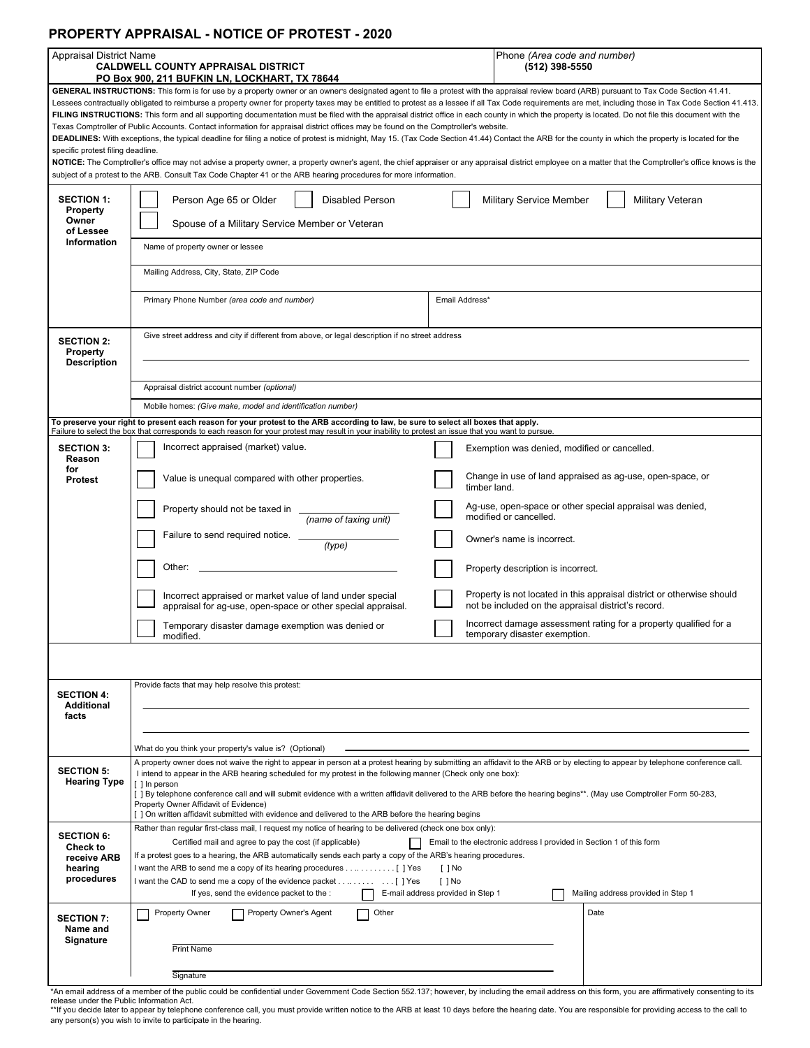### **PROPERTY APPRAISAL - NOTICE OF PROTEST - 2020**

| <b>Appraisal District Name</b>                                                                                                                                                                                                                                                                                                              |                                                                                                                                                                                                                                                                                                                                                                                                                                                                                | Phone (Area code and number) |                                                                                                    |  |
|---------------------------------------------------------------------------------------------------------------------------------------------------------------------------------------------------------------------------------------------------------------------------------------------------------------------------------------------|--------------------------------------------------------------------------------------------------------------------------------------------------------------------------------------------------------------------------------------------------------------------------------------------------------------------------------------------------------------------------------------------------------------------------------------------------------------------------------|------------------------------|----------------------------------------------------------------------------------------------------|--|
|                                                                                                                                                                                                                                                                                                                                             | <b>CALDWELL COUNTY APPRAISAL DISTRICT</b><br>PO Box 900, 211 BUFKIN LN, LOCKHART, TX 78644                                                                                                                                                                                                                                                                                                                                                                                     |                              | (512) 398-5550                                                                                     |  |
| GENERAL INSTRUCTIONS: This form is for use by a property owner or an owner's designated agent to file a protest with the appraisal review board (ARB) pursuant to Tax Code Section 41.41.                                                                                                                                                   |                                                                                                                                                                                                                                                                                                                                                                                                                                                                                |                              |                                                                                                    |  |
| Lessees contractually obligated to reimburse a property owner for property taxes may be entitled to protest as a lessee if all Tax Code requirements are met, including those in Tax Code Section 41.413.                                                                                                                                   |                                                                                                                                                                                                                                                                                                                                                                                                                                                                                |                              |                                                                                                    |  |
| FILING INSTRUCTIONS: This form and all supporting documentation must be filed with the appraisal district office in each county in which the property is located. Do not file this document with the<br>Texas Comptroller of Public Accounts. Contact information for appraisal district offices may be found on the Comptroller's website. |                                                                                                                                                                                                                                                                                                                                                                                                                                                                                |                              |                                                                                                    |  |
| DEADLINES: With exceptions, the typical deadline for filing a notice of protest is midnight, May 15. (Tax Code Section 41.44) Contact the ARB for the county in which the property is located for the                                                                                                                                       |                                                                                                                                                                                                                                                                                                                                                                                                                                                                                |                              |                                                                                                    |  |
| specific protest filing deadline.                                                                                                                                                                                                                                                                                                           |                                                                                                                                                                                                                                                                                                                                                                                                                                                                                |                              |                                                                                                    |  |
| NOTICE: The Comptroller's office may not advise a property owner, a property owner's agent, the chief appraiser or any appraisal district employee on a matter that the Comptroller's office knows is the<br>subject of a protest to the ARB. Consult Tax Code Chapter 41 or the ARB hearing procedures for more information.               |                                                                                                                                                                                                                                                                                                                                                                                                                                                                                |                              |                                                                                                    |  |
|                                                                                                                                                                                                                                                                                                                                             |                                                                                                                                                                                                                                                                                                                                                                                                                                                                                |                              |                                                                                                    |  |
| <b>SECTION 1:</b>                                                                                                                                                                                                                                                                                                                           | Person Age 65 or Older<br><b>Disabled Person</b>                                                                                                                                                                                                                                                                                                                                                                                                                               |                              | Military Veteran<br><b>Military Service Member</b>                                                 |  |
| <b>Property</b><br>Owner                                                                                                                                                                                                                                                                                                                    |                                                                                                                                                                                                                                                                                                                                                                                                                                                                                |                              |                                                                                                    |  |
| of Lessee                                                                                                                                                                                                                                                                                                                                   | Spouse of a Military Service Member or Veteran<br>Information<br>Name of property owner or lessee                                                                                                                                                                                                                                                                                                                                                                              |                              |                                                                                                    |  |
|                                                                                                                                                                                                                                                                                                                                             |                                                                                                                                                                                                                                                                                                                                                                                                                                                                                |                              |                                                                                                    |  |
|                                                                                                                                                                                                                                                                                                                                             |                                                                                                                                                                                                                                                                                                                                                                                                                                                                                |                              |                                                                                                    |  |
|                                                                                                                                                                                                                                                                                                                                             | Mailing Address, City, State, ZIP Code                                                                                                                                                                                                                                                                                                                                                                                                                                         |                              |                                                                                                    |  |
|                                                                                                                                                                                                                                                                                                                                             | Primary Phone Number (area code and number)                                                                                                                                                                                                                                                                                                                                                                                                                                    | Email Address*               |                                                                                                    |  |
|                                                                                                                                                                                                                                                                                                                                             |                                                                                                                                                                                                                                                                                                                                                                                                                                                                                |                              |                                                                                                    |  |
|                                                                                                                                                                                                                                                                                                                                             |                                                                                                                                                                                                                                                                                                                                                                                                                                                                                |                              |                                                                                                    |  |
| <b>SECTION 2:</b>                                                                                                                                                                                                                                                                                                                           | Give street address and city if different from above, or legal description if no street address                                                                                                                                                                                                                                                                                                                                                                                |                              |                                                                                                    |  |
| Property                                                                                                                                                                                                                                                                                                                                    |                                                                                                                                                                                                                                                                                                                                                                                                                                                                                |                              |                                                                                                    |  |
| <b>Description</b>                                                                                                                                                                                                                                                                                                                          |                                                                                                                                                                                                                                                                                                                                                                                                                                                                                |                              |                                                                                                    |  |
|                                                                                                                                                                                                                                                                                                                                             | Appraisal district account number (optional)                                                                                                                                                                                                                                                                                                                                                                                                                                   |                              |                                                                                                    |  |
|                                                                                                                                                                                                                                                                                                                                             | Mobile homes: (Give make, model and identification number)                                                                                                                                                                                                                                                                                                                                                                                                                     |                              |                                                                                                    |  |
|                                                                                                                                                                                                                                                                                                                                             | To preserve your right to present each reason for your protest to the ARB according to law, be sure to select all boxes that apply.                                                                                                                                                                                                                                                                                                                                            |                              |                                                                                                    |  |
|                                                                                                                                                                                                                                                                                                                                             | Failure to select the box that corresponds to each reason for your protest may result in your inability to protest an issue that you want to pursue.                                                                                                                                                                                                                                                                                                                           |                              |                                                                                                    |  |
| <b>SECTION 3:</b>                                                                                                                                                                                                                                                                                                                           | Incorrect appraised (market) value.                                                                                                                                                                                                                                                                                                                                                                                                                                            |                              | Exemption was denied, modified or cancelled.                                                       |  |
| Reason<br>for                                                                                                                                                                                                                                                                                                                               |                                                                                                                                                                                                                                                                                                                                                                                                                                                                                |                              |                                                                                                    |  |
| Protest                                                                                                                                                                                                                                                                                                                                     | Value is unequal compared with other properties.                                                                                                                                                                                                                                                                                                                                                                                                                               |                              | Change in use of land appraised as ag-use, open-space, or<br>timber land.                          |  |
|                                                                                                                                                                                                                                                                                                                                             |                                                                                                                                                                                                                                                                                                                                                                                                                                                                                |                              |                                                                                                    |  |
|                                                                                                                                                                                                                                                                                                                                             | Property should not be taxed in<br>(name of taxing unit)                                                                                                                                                                                                                                                                                                                                                                                                                       |                              | Ag-use, open-space or other special appraisal was denied,<br>modified or cancelled.                |  |
|                                                                                                                                                                                                                                                                                                                                             | Failure to send required notice. _                                                                                                                                                                                                                                                                                                                                                                                                                                             |                              |                                                                                                    |  |
|                                                                                                                                                                                                                                                                                                                                             | (type)                                                                                                                                                                                                                                                                                                                                                                                                                                                                         |                              | Owner's name is incorrect.                                                                         |  |
|                                                                                                                                                                                                                                                                                                                                             | Other:                                                                                                                                                                                                                                                                                                                                                                                                                                                                         |                              | Property description is incorrect.                                                                 |  |
|                                                                                                                                                                                                                                                                                                                                             |                                                                                                                                                                                                                                                                                                                                                                                                                                                                                |                              |                                                                                                    |  |
|                                                                                                                                                                                                                                                                                                                                             | Incorrect appraised or market value of land under special                                                                                                                                                                                                                                                                                                                                                                                                                      |                              | Property is not located in this appraisal district or otherwise should                             |  |
|                                                                                                                                                                                                                                                                                                                                             | appraisal for ag-use, open-space or other special appraisal.                                                                                                                                                                                                                                                                                                                                                                                                                   |                              | not be included on the appraisal district's record.                                                |  |
|                                                                                                                                                                                                                                                                                                                                             | Temporary disaster damage exemption was denied or<br>modified.                                                                                                                                                                                                                                                                                                                                                                                                                 |                              | Incorrect damage assessment rating for a property qualified for a<br>temporary disaster exemption. |  |
|                                                                                                                                                                                                                                                                                                                                             |                                                                                                                                                                                                                                                                                                                                                                                                                                                                                |                              |                                                                                                    |  |
|                                                                                                                                                                                                                                                                                                                                             |                                                                                                                                                                                                                                                                                                                                                                                                                                                                                |                              |                                                                                                    |  |
|                                                                                                                                                                                                                                                                                                                                             | Provide facts that may help resolve this protest:                                                                                                                                                                                                                                                                                                                                                                                                                              |                              |                                                                                                    |  |
| <b>SECTION 4:</b>                                                                                                                                                                                                                                                                                                                           |                                                                                                                                                                                                                                                                                                                                                                                                                                                                                |                              |                                                                                                    |  |
| <b>Additional</b><br>facts                                                                                                                                                                                                                                                                                                                  |                                                                                                                                                                                                                                                                                                                                                                                                                                                                                |                              |                                                                                                    |  |
|                                                                                                                                                                                                                                                                                                                                             |                                                                                                                                                                                                                                                                                                                                                                                                                                                                                |                              |                                                                                                    |  |
|                                                                                                                                                                                                                                                                                                                                             | What do you think your property's value is? (Optional)                                                                                                                                                                                                                                                                                                                                                                                                                         |                              |                                                                                                    |  |
|                                                                                                                                                                                                                                                                                                                                             | A property owner does not waive the right to appear in person at a protest hearing by submitting an affidavit to the ARB or by electing to appear by telephone conference call.                                                                                                                                                                                                                                                                                                |                              |                                                                                                    |  |
| <b>SECTION 5:</b>                                                                                                                                                                                                                                                                                                                           | I intend to appear in the ARB hearing scheduled for my protest in the following manner (Check only one box):<br><b>Hearing Type</b><br>[ ] In person<br>[ ] By telephone conference call and will submit evidence with a written affidavit delivered to the ARB before the hearing begins**. (May use Comptroller Form 50-283,<br>Property Owner Affidavit of Evidence)<br>[ ] On written affidavit submitted with evidence and delivered to the ARB before the hearing begins |                              |                                                                                                    |  |
|                                                                                                                                                                                                                                                                                                                                             |                                                                                                                                                                                                                                                                                                                                                                                                                                                                                |                              |                                                                                                    |  |
|                                                                                                                                                                                                                                                                                                                                             |                                                                                                                                                                                                                                                                                                                                                                                                                                                                                |                              |                                                                                                    |  |
|                                                                                                                                                                                                                                                                                                                                             |                                                                                                                                                                                                                                                                                                                                                                                                                                                                                |                              |                                                                                                    |  |
| <b>SECTION 6:</b>                                                                                                                                                                                                                                                                                                                           | Rather than regular first-class mail, I request my notice of hearing to be delivered (check one box only):<br>Certified mail and agree to pay the cost (if applicable)<br>Email to the electronic address I provided in Section 1 of this form<br>If a protest goes to a hearing, the ARB automatically sends each party a copy of the ARB's hearing procedures.<br>I want the ARB to send me a copy of its hearing procedures [ ] Yes<br>$\lceil \cdot \rceil$ No             |                              |                                                                                                    |  |
| Check to                                                                                                                                                                                                                                                                                                                                    |                                                                                                                                                                                                                                                                                                                                                                                                                                                                                |                              |                                                                                                    |  |
| receive ARB<br>hearing                                                                                                                                                                                                                                                                                                                      |                                                                                                                                                                                                                                                                                                                                                                                                                                                                                |                              |                                                                                                    |  |
| procedures                                                                                                                                                                                                                                                                                                                                  | $\lceil \; \rceil$ No                                                                                                                                                                                                                                                                                                                                                                                                                                                          |                              |                                                                                                    |  |
| If yes, send the evidence packet to the :<br>E-mail address provided in Step 1<br>Mailing address provided in Step 1                                                                                                                                                                                                                        |                                                                                                                                                                                                                                                                                                                                                                                                                                                                                |                              |                                                                                                    |  |
| <b>SECTION 7:</b>                                                                                                                                                                                                                                                                                                                           | Property Owner<br>Property Owner's Agent<br>Other                                                                                                                                                                                                                                                                                                                                                                                                                              |                              | Date                                                                                               |  |
| Name and                                                                                                                                                                                                                                                                                                                                    |                                                                                                                                                                                                                                                                                                                                                                                                                                                                                |                              |                                                                                                    |  |
| Signature                                                                                                                                                                                                                                                                                                                                   | <b>Print Name</b>                                                                                                                                                                                                                                                                                                                                                                                                                                                              |                              |                                                                                                    |  |
|                                                                                                                                                                                                                                                                                                                                             |                                                                                                                                                                                                                                                                                                                                                                                                                                                                                |                              |                                                                                                    |  |
| Signature                                                                                                                                                                                                                                                                                                                                   |                                                                                                                                                                                                                                                                                                                                                                                                                                                                                |                              |                                                                                                    |  |
|                                                                                                                                                                                                                                                                                                                                             | member of the public could be confidential under Government Code Section 552.137; however, by including the email address on this form, you are affirmatively consenting                                                                                                                                                                                                                                                                                                       |                              |                                                                                                    |  |

\*An email address of a member of the public could be confidential under Government Code Section 552.137; however, by including the email address on this form, you are affirmatively consenting to its<br>release under the Publ

any person(s) you wish to invite to participate in the hearing.